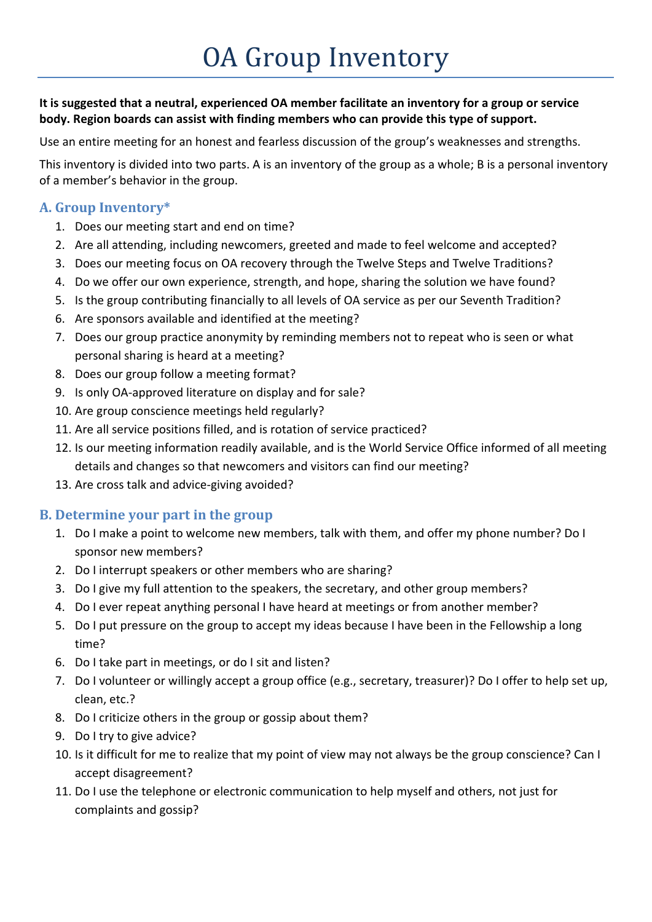## **It is suggested that a neutral, experienced OA member facilitate an inventory for a group or service body. Region boards can assist with finding members who can provide this type of support.**

Use an entire meeting for an honest and fearless discussion of the group's weaknesses and strengths.

This inventory is divided into two parts. A is an inventory of the group as a whole; B is a personal inventory of a member's behavior in the group.

## **A. Group Inventory\***

- 1. Does our meeting start and end on time?
- 2. Are all attending, including newcomers, greeted and made to feel welcome and accepted?
- 3. Does our meeting focus on OA recovery through the Twelve Steps and Twelve Traditions?
- 4. Do we offer our own experience, strength, and hope, sharing the solution we have found?
- 5. Is the group contributing financially to all levels of OA service as per our Seventh Tradition?
- 6. Are sponsors available and identified at the meeting?
- 7. Does our group practice anonymity by reminding members not to repeat who is seen or what personal sharing is heard at a meeting?
- 8. Does our group follow a meeting format?
- 9. Is only OA-approved literature on display and for sale?
- 10. Are group conscience meetings held regularly?
- 11. Are all service positions filled, and is rotation of service practiced?
- 12. Is our meeting information readily available, and is the World Service Office informed of all meeting details and changes so that newcomers and visitors can find our meeting?
- 13. Are cross talk and advice-giving avoided?

## **B. Determine your part in the group**

- 1. Do I make a point to welcome new members, talk with them, and offer my phone number? Do I sponsor new members?
- 2. Do I interrupt speakers or other members who are sharing?
- 3. Do I give my full attention to the speakers, the secretary, and other group members?
- 4. Do I ever repeat anything personal I have heard at meetings or from another member?
- 5. Do I put pressure on the group to accept my ideas because I have been in the Fellowship a long time?
- 6. Do I take part in meetings, or do I sit and listen?
- 7. Do I volunteer or willingly accept a group office (e.g., secretary, treasurer)? Do I offer to help set up, clean, etc.?
- 8. Do I criticize others in the group or gossip about them?
- 9. Do I try to give advice?
- 10. Is it difficult for me to realize that my point of view may not always be the group conscience? Can I accept disagreement?
- 11. Do I use the telephone or electronic communication to help myself and others, not just for complaints and gossip?